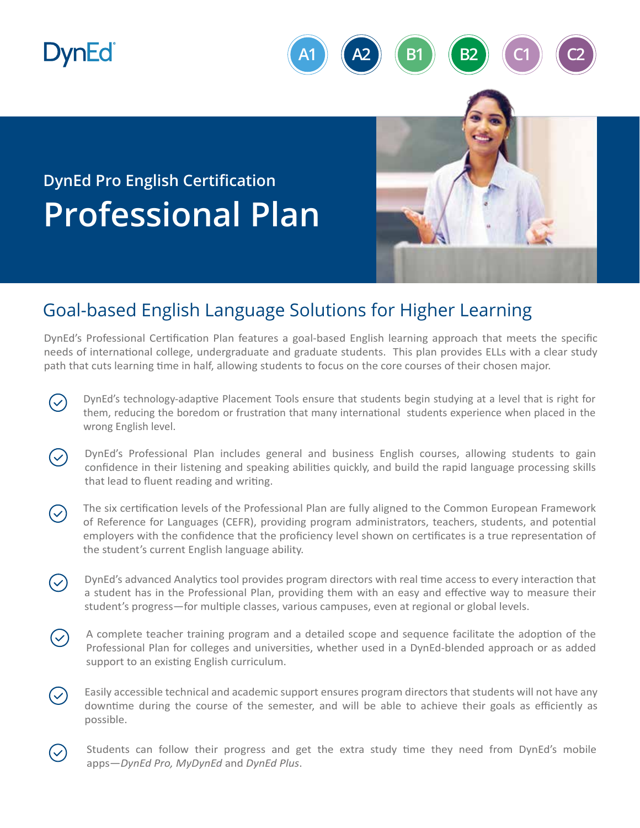## **DynEd**



## **DynEd Pro English Certification Professional Plan**

## Goal-based English Language Solutions for Higher Learning

DynEd's Professional Certification Plan features a goal-based English learning approach that meets the specific needs of international college, undergraduate and graduate students. This plan provides ELLs with a clear study path that cuts learning time in half, allowing students to focus on the core courses of their chosen major.

- DynEd's technology-adaptive Placement Tools ensure that students begin studying at a level that is right for  $\mathcal{S}$ them, reducing the boredom or frustration that many international students experience when placed in the wrong English level.
- DynEd's Professional Plan includes general and business English courses, allowing students to gain  $\checkmark$ confidence in their listening and speaking abilities quickly, and build the rapid language processing skills that lead to fluent reading and writing.
- The six certification levels of the Professional Plan are fully aligned to the Common European Framework  $\left(\mathcal{S}\right)$ of Reference for Languages (CEFR), providing program administrators, teachers, students, and potential employers with the confidence that the proficiency level shown on certificates is a true representation of the student's current English language ability.
- DynEd's advanced Analytics tool provides program directors with real time access to every interaction that  $\checkmark$ a student has in the Professional Plan, providing them with an easy and effective way to measure their student's progress—for multiple classes, various campuses, even at regional or global levels.
- A complete teacher training program and a detailed scope and sequence facilitate the adoption of the  $\bigvee$ Professional Plan for colleges and universi�es, whether used in a DynEd-blended approach or as added support to an existing English curriculum.
- Easily accessible technical and academic support ensures program directors that students will not have any  $\blacktriangledown$ downtime during the course of the semester, and will be able to achieve their goals as efficiently as possible.
- Students can follow their progress and get the extra study time they need from DynEd's mobile apps—*DynEd Pro, MyDynEd* and *DynEd Plus*.